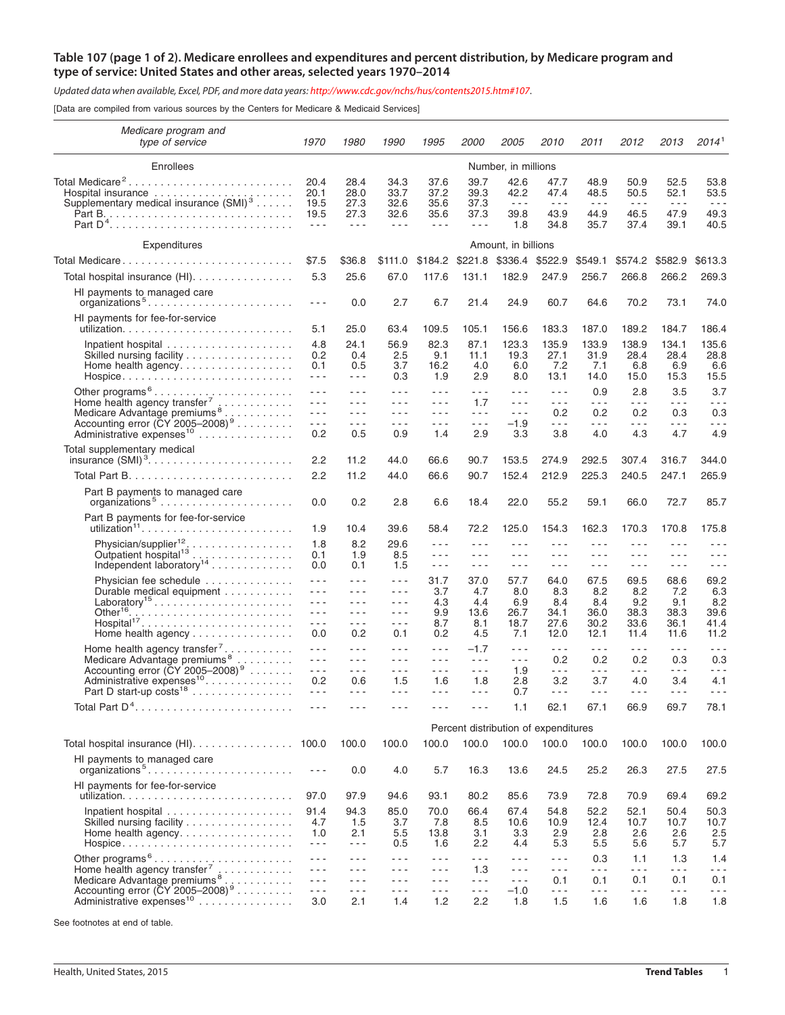## Table 107 (page 1 of 2). Medicare enrollees and expenditures and percent distribution, by Medicare program and **type of service: United States and other areas, selected years 1970–2014**

Updated data when available, Excel, PDF, and more data years: <http://www.cdc.gov/nchs/hus/contents2015.htm#107>.

[Data are compiled from various sources by the Centers for Medicare & Medicaid Services]

| Medicare program and<br>type of service                                                                                            | 1970                                                                                                                                                                                                                                                                                                                                                                                                                         | 1980                                                                                                                                                                                                                                                                                                                                                                                                                         | 1990                                                                                                                                                                                                                                                                                                                                                                                                                                            | 1995                                                                                                                                                                                                                                                                                                                                                                                                                                                                                   | <i>2000</i>                                                                                                                                                                                                                                                                                                                                                                                  | <i>2005</i>                                         | <i>2010</i>                                                                                                                                                                                                                                                                                                                                                                                                    | 2011                                                                                   | 2012                                                 | 2013                                                 | 2014 <sup>1</sup>                                    |
|------------------------------------------------------------------------------------------------------------------------------------|------------------------------------------------------------------------------------------------------------------------------------------------------------------------------------------------------------------------------------------------------------------------------------------------------------------------------------------------------------------------------------------------------------------------------|------------------------------------------------------------------------------------------------------------------------------------------------------------------------------------------------------------------------------------------------------------------------------------------------------------------------------------------------------------------------------------------------------------------------------|-------------------------------------------------------------------------------------------------------------------------------------------------------------------------------------------------------------------------------------------------------------------------------------------------------------------------------------------------------------------------------------------------------------------------------------------------|----------------------------------------------------------------------------------------------------------------------------------------------------------------------------------------------------------------------------------------------------------------------------------------------------------------------------------------------------------------------------------------------------------------------------------------------------------------------------------------|----------------------------------------------------------------------------------------------------------------------------------------------------------------------------------------------------------------------------------------------------------------------------------------------------------------------------------------------------------------------------------------------|-----------------------------------------------------|----------------------------------------------------------------------------------------------------------------------------------------------------------------------------------------------------------------------------------------------------------------------------------------------------------------------------------------------------------------------------------------------------------------|----------------------------------------------------------------------------------------|------------------------------------------------------|------------------------------------------------------|------------------------------------------------------|
| Enrollees                                                                                                                          | Number, in millions                                                                                                                                                                                                                                                                                                                                                                                                          |                                                                                                                                                                                                                                                                                                                                                                                                                              |                                                                                                                                                                                                                                                                                                                                                                                                                                                 |                                                                                                                                                                                                                                                                                                                                                                                                                                                                                        |                                                                                                                                                                                                                                                                                                                                                                                              |                                                     |                                                                                                                                                                                                                                                                                                                                                                                                                |                                                                                        |                                                      |                                                      |                                                      |
| Total Medicare <sup>2</sup><br>Supplementary medical insurance (SMI) <sup>3</sup>                                                  | 20.4<br>20.1<br>19.5<br>19.5<br>$\frac{1}{2} \frac{1}{2} \frac{1}{2} \frac{1}{2} \frac{1}{2} \frac{1}{2} \frac{1}{2} \frac{1}{2} \frac{1}{2} \frac{1}{2} \frac{1}{2} \frac{1}{2} \frac{1}{2} \frac{1}{2} \frac{1}{2} \frac{1}{2} \frac{1}{2} \frac{1}{2} \frac{1}{2} \frac{1}{2} \frac{1}{2} \frac{1}{2} \frac{1}{2} \frac{1}{2} \frac{1}{2} \frac{1}{2} \frac{1}{2} \frac{1}{2} \frac{1}{2} \frac{1}{2} \frac{1}{2} \frac{$ | 28.4<br>28.0<br>27.3<br>27.3<br>$\frac{1}{2} \frac{1}{2} \frac{1}{2} \frac{1}{2} \frac{1}{2} \frac{1}{2} \frac{1}{2} \frac{1}{2} \frac{1}{2} \frac{1}{2} \frac{1}{2} \frac{1}{2} \frac{1}{2} \frac{1}{2} \frac{1}{2} \frac{1}{2} \frac{1}{2} \frac{1}{2} \frac{1}{2} \frac{1}{2} \frac{1}{2} \frac{1}{2} \frac{1}{2} \frac{1}{2} \frac{1}{2} \frac{1}{2} \frac{1}{2} \frac{1}{2} \frac{1}{2} \frac{1}{2} \frac{1}{2} \frac{$ | 34.3<br>33.7<br>32.6<br>32.6<br>$\frac{1}{2} \left( \frac{1}{2} \right) \left( \frac{1}{2} \right) \left( \frac{1}{2} \right)$                                                                                                                                                                                                                                                                                                                  | 37.6<br>37.2<br>35.6<br>35.6<br>$\frac{1}{2} \left( \frac{1}{2} \right) \left( \frac{1}{2} \right) \left( \frac{1}{2} \right)$                                                                                                                                                                                                                                                                                                                                                         | 39.7<br>39.3<br>37.3<br>37.3<br>$\sim$ $\sim$ $\sim$                                                                                                                                                                                                                                                                                                                                         | 42.6<br>42.2<br>$\sim$ $\sim$ $\sim$<br>39.8<br>1.8 | 47.7<br>47.4<br>$\sim$ $\sim$ $\sim$<br>43.9<br>34.8                                                                                                                                                                                                                                                                                                                                                           | 48.9<br>48.5<br>$\sim$ $\sim$ $\sim$<br>44.9<br>35.7                                   | 50.9<br>50.5<br>$\sim$ $\sim$ $\sim$<br>46.5<br>37.4 | 52.5<br>52.1<br>$\sim$ $\sim$ $\sim$<br>47.9<br>39.1 | 53.8<br>53.5<br>$\sim$ $\sim$ $\sim$<br>49.3<br>40.5 |
| Expenditures                                                                                                                       | Amount, in billions                                                                                                                                                                                                                                                                                                                                                                                                          |                                                                                                                                                                                                                                                                                                                                                                                                                              |                                                                                                                                                                                                                                                                                                                                                                                                                                                 |                                                                                                                                                                                                                                                                                                                                                                                                                                                                                        |                                                                                                                                                                                                                                                                                                                                                                                              |                                                     |                                                                                                                                                                                                                                                                                                                                                                                                                |                                                                                        |                                                      |                                                      |                                                      |
| Total Medicare                                                                                                                     | \$7.5                                                                                                                                                                                                                                                                                                                                                                                                                        | \$36.8                                                                                                                                                                                                                                                                                                                                                                                                                       | \$111.0                                                                                                                                                                                                                                                                                                                                                                                                                                         |                                                                                                                                                                                                                                                                                                                                                                                                                                                                                        | \$184.2 \$221.8                                                                                                                                                                                                                                                                                                                                                                              | \$336.4                                             | \$522.9                                                                                                                                                                                                                                                                                                                                                                                                        | \$549.1                                                                                | \$574.2                                              | \$582.9                                              | \$613.3                                              |
| Total hospital insurance (HI).                                                                                                     | 5.3                                                                                                                                                                                                                                                                                                                                                                                                                          | 25.6                                                                                                                                                                                                                                                                                                                                                                                                                         | 67.0                                                                                                                                                                                                                                                                                                                                                                                                                                            | 117.6                                                                                                                                                                                                                                                                                                                                                                                                                                                                                  | 131.1                                                                                                                                                                                                                                                                                                                                                                                        | 182.9                                               | 247.9                                                                                                                                                                                                                                                                                                                                                                                                          | 256.7                                                                                  | 266.8                                                | 266.2                                                | 269.3                                                |
| HI payments to managed care<br>organizations <sup>5</sup>                                                                          | $  -$                                                                                                                                                                                                                                                                                                                                                                                                                        | 0.0                                                                                                                                                                                                                                                                                                                                                                                                                          | 2.7                                                                                                                                                                                                                                                                                                                                                                                                                                             | 6.7                                                                                                                                                                                                                                                                                                                                                                                                                                                                                    | 21.4                                                                                                                                                                                                                                                                                                                                                                                         | 24.9                                                | 60.7                                                                                                                                                                                                                                                                                                                                                                                                           | 64.6                                                                                   | 70.2                                                 | 73.1                                                 | 74.0                                                 |
| HI payments for fee-for-service                                                                                                    | 5.1                                                                                                                                                                                                                                                                                                                                                                                                                          | 25.0                                                                                                                                                                                                                                                                                                                                                                                                                         | 63.4                                                                                                                                                                                                                                                                                                                                                                                                                                            | 109.5                                                                                                                                                                                                                                                                                                                                                                                                                                                                                  | 105.1                                                                                                                                                                                                                                                                                                                                                                                        | 156.6                                               | 183.3                                                                                                                                                                                                                                                                                                                                                                                                          | 187.0                                                                                  | 189.2                                                | 184.7                                                | 186.4                                                |
|                                                                                                                                    | 4.8                                                                                                                                                                                                                                                                                                                                                                                                                          | 24.1                                                                                                                                                                                                                                                                                                                                                                                                                         | 56.9                                                                                                                                                                                                                                                                                                                                                                                                                                            | 82.3                                                                                                                                                                                                                                                                                                                                                                                                                                                                                   | 87.1                                                                                                                                                                                                                                                                                                                                                                                         | 123.3                                               | 135.9                                                                                                                                                                                                                                                                                                                                                                                                          | 133.9                                                                                  | 138.9                                                | 134.1                                                | 135.6                                                |
| Skilled nursing facility<br>Hospice                                                                                                | 0.2<br>0.1<br>$\sim$ $\sim$ $\sim$                                                                                                                                                                                                                                                                                                                                                                                           | 0.4<br>0.5<br>$- - -$                                                                                                                                                                                                                                                                                                                                                                                                        | 2.5<br>3.7<br>0.3                                                                                                                                                                                                                                                                                                                                                                                                                               | 9.1<br>16.2<br>1.9                                                                                                                                                                                                                                                                                                                                                                                                                                                                     | 11.1<br>4.0<br>2.9                                                                                                                                                                                                                                                                                                                                                                           | 19.3<br>6.0<br>8.0                                  | 27.1<br>7.2<br>13.1                                                                                                                                                                                                                                                                                                                                                                                            | 31.9<br>7.1<br>14.0                                                                    | 28.4<br>6.8<br>15.0                                  | 28.4<br>6.9<br>15.3                                  | 28.8<br>6.6<br>15.5                                  |
| Other programs <sup>6</sup> <sub>.</sub>                                                                                           | $  -$                                                                                                                                                                                                                                                                                                                                                                                                                        | - - -                                                                                                                                                                                                                                                                                                                                                                                                                        | $\frac{1}{2} \frac{1}{2} \frac{1}{2} \frac{1}{2} \frac{1}{2} \frac{1}{2} \frac{1}{2} \frac{1}{2} \frac{1}{2} \frac{1}{2} \frac{1}{2} \frac{1}{2} \frac{1}{2} \frac{1}{2} \frac{1}{2} \frac{1}{2} \frac{1}{2} \frac{1}{2} \frac{1}{2} \frac{1}{2} \frac{1}{2} \frac{1}{2} \frac{1}{2} \frac{1}{2} \frac{1}{2} \frac{1}{2} \frac{1}{2} \frac{1}{2} \frac{1}{2} \frac{1}{2} \frac{1}{2} \frac{$                                                    | $- - -$                                                                                                                                                                                                                                                                                                                                                                                                                                                                                | $  -$                                                                                                                                                                                                                                                                                                                                                                                        | $- - -$                                             | $\frac{1}{2} \frac{1}{2} \frac{1}{2} \frac{1}{2} \frac{1}{2} \frac{1}{2} \frac{1}{2} \frac{1}{2} \frac{1}{2} \frac{1}{2} \frac{1}{2} \frac{1}{2} \frac{1}{2} \frac{1}{2} \frac{1}{2} \frac{1}{2} \frac{1}{2} \frac{1}{2} \frac{1}{2} \frac{1}{2} \frac{1}{2} \frac{1}{2} \frac{1}{2} \frac{1}{2} \frac{1}{2} \frac{1}{2} \frac{1}{2} \frac{1}{2} \frac{1}{2} \frac{1}{2} \frac{1}{2} \frac{$                   | 0.9                                                                                    | 2.8                                                  | 3.5                                                  | 3.7                                                  |
| Home health agency transfer <sup>7</sup> $\ldots$<br>Medicare Advantage premiums <sup>8</sup>                                      | $ -$<br>$\frac{1}{2} \frac{1}{2} \frac{1}{2} \frac{1}{2} \frac{1}{2} \frac{1}{2} \frac{1}{2} \frac{1}{2} \frac{1}{2} \frac{1}{2} \frac{1}{2} \frac{1}{2} \frac{1}{2} \frac{1}{2} \frac{1}{2} \frac{1}{2} \frac{1}{2} \frac{1}{2} \frac{1}{2} \frac{1}{2} \frac{1}{2} \frac{1}{2} \frac{1}{2} \frac{1}{2} \frac{1}{2} \frac{1}{2} \frac{1}{2} \frac{1}{2} \frac{1}{2} \frac{1}{2} \frac{1}{2} \frac{$                         | $- - -$<br>$- - -$                                                                                                                                                                                                                                                                                                                                                                                                           | $  -$<br>$- - -$                                                                                                                                                                                                                                                                                                                                                                                                                                | $  -$<br>$\frac{1}{2} \left( \frac{1}{2} \right) \frac{1}{2} \left( \frac{1}{2} \right)$                                                                                                                                                                                                                                                                                                                                                                                               | 1.7<br>$  -$                                                                                                                                                                                                                                                                                                                                                                                 | $- - -$<br>$- - -$                                  | $\frac{1}{2} \frac{1}{2} \frac{1}{2} \frac{1}{2} \frac{1}{2} \frac{1}{2} \frac{1}{2} \frac{1}{2} \frac{1}{2} \frac{1}{2} \frac{1}{2} \frac{1}{2} \frac{1}{2} \frac{1}{2} \frac{1}{2} \frac{1}{2} \frac{1}{2} \frac{1}{2} \frac{1}{2} \frac{1}{2} \frac{1}{2} \frac{1}{2} \frac{1}{2} \frac{1}{2} \frac{1}{2} \frac{1}{2} \frac{1}{2} \frac{1}{2} \frac{1}{2} \frac{1}{2} \frac{1}{2} \frac{$<br>0.2            | $- - -$<br>0.2                                                                         | - - -<br>0.2                                         | $- - -$<br>0.3                                       | $- - -$<br>0.3                                       |
| Accounting error $(\text{CY} 2005-2008)^9$                                                                                         | $\sim$ $\sim$ $\sim$                                                                                                                                                                                                                                                                                                                                                                                                         | $  -$                                                                                                                                                                                                                                                                                                                                                                                                                        | $- - -$                                                                                                                                                                                                                                                                                                                                                                                                                                         | $- - -$                                                                                                                                                                                                                                                                                                                                                                                                                                                                                | $- - -$                                                                                                                                                                                                                                                                                                                                                                                      | $-1.9$                                              | $  -$                                                                                                                                                                                                                                                                                                                                                                                                          | $- - -$                                                                                | - - -                                                | $\sim$ $\sim$ $\sim$                                 | $  -$                                                |
| Administrative expenses <sup>10</sup>                                                                                              | 0.2                                                                                                                                                                                                                                                                                                                                                                                                                          | 0.5                                                                                                                                                                                                                                                                                                                                                                                                                          | 0.9                                                                                                                                                                                                                                                                                                                                                                                                                                             | 1.4                                                                                                                                                                                                                                                                                                                                                                                                                                                                                    | 2.9                                                                                                                                                                                                                                                                                                                                                                                          | 3.3                                                 | 3.8                                                                                                                                                                                                                                                                                                                                                                                                            | 4.0                                                                                    | 4.3                                                  | 4.7                                                  | 4.9                                                  |
| Total supplementary medical                                                                                                        | 2.2                                                                                                                                                                                                                                                                                                                                                                                                                          | 11.2                                                                                                                                                                                                                                                                                                                                                                                                                         | 44.0                                                                                                                                                                                                                                                                                                                                                                                                                                            | 66.6                                                                                                                                                                                                                                                                                                                                                                                                                                                                                   | 90.7                                                                                                                                                                                                                                                                                                                                                                                         | 153.5                                               | 274.9                                                                                                                                                                                                                                                                                                                                                                                                          | 292.5                                                                                  | 307.4                                                | 316.7                                                | 344.0                                                |
|                                                                                                                                    | 2.2                                                                                                                                                                                                                                                                                                                                                                                                                          | 11.2                                                                                                                                                                                                                                                                                                                                                                                                                         | 44.0                                                                                                                                                                                                                                                                                                                                                                                                                                            | 66.6                                                                                                                                                                                                                                                                                                                                                                                                                                                                                   | 90.7                                                                                                                                                                                                                                                                                                                                                                                         | 152.4                                               | 212.9                                                                                                                                                                                                                                                                                                                                                                                                          | 225.3                                                                                  | 240.5                                                | 247.1                                                | 265.9                                                |
| Part B payments to managed care<br>organizations <sup>5</sup>                                                                      | 0.0                                                                                                                                                                                                                                                                                                                                                                                                                          | 0.2                                                                                                                                                                                                                                                                                                                                                                                                                          | 2.8                                                                                                                                                                                                                                                                                                                                                                                                                                             | 6.6                                                                                                                                                                                                                                                                                                                                                                                                                                                                                    | 18.4                                                                                                                                                                                                                                                                                                                                                                                         | 22.0                                                | 55.2                                                                                                                                                                                                                                                                                                                                                                                                           | 59.1                                                                                   | 66.0                                                 | 72.7                                                 | 85.7                                                 |
| Part B payments for fee-for-service                                                                                                | 1.9                                                                                                                                                                                                                                                                                                                                                                                                                          | 10.4                                                                                                                                                                                                                                                                                                                                                                                                                         | 39.6                                                                                                                                                                                                                                                                                                                                                                                                                                            | 58.4                                                                                                                                                                                                                                                                                                                                                                                                                                                                                   | 72.2                                                                                                                                                                                                                                                                                                                                                                                         | 125.0                                               | 154.3                                                                                                                                                                                                                                                                                                                                                                                                          | 162.3                                                                                  | 170.3                                                | 170.8                                                | 175.8                                                |
|                                                                                                                                    | 1.8<br>0.1<br>0.0                                                                                                                                                                                                                                                                                                                                                                                                            | 8.2<br>1.9<br>0.1                                                                                                                                                                                                                                                                                                                                                                                                            | 29.6<br>8.5<br>1.5                                                                                                                                                                                                                                                                                                                                                                                                                              | $  -$<br>- - -<br>$\sim$ $\sim$ $\sim$                                                                                                                                                                                                                                                                                                                                                                                                                                                 | - - -<br>$  -$<br>$\sim$ $\sim$ $\sim$                                                                                                                                                                                                                                                                                                                                                       | - - -<br>$- - -$<br>$  -$                           | $  -$<br>$  -$<br>$\frac{1}{2} \frac{1}{2} \frac{1}{2} \frac{1}{2} \frac{1}{2} \frac{1}{2} \frac{1}{2} \frac{1}{2} \frac{1}{2} \frac{1}{2} \frac{1}{2} \frac{1}{2} \frac{1}{2} \frac{1}{2} \frac{1}{2} \frac{1}{2} \frac{1}{2} \frac{1}{2} \frac{1}{2} \frac{1}{2} \frac{1}{2} \frac{1}{2} \frac{1}{2} \frac{1}{2} \frac{1}{2} \frac{1}{2} \frac{1}{2} \frac{1}{2} \frac{1}{2} \frac{1}{2} \frac{1}{2} \frac{$ | $  -$<br>$  -$<br>$  -$                                                                | $  -$<br>- - -<br>$- - -$                            | .<br>- - -<br>$  -$                                  | - - -<br>$- - -$<br>$\sim$ $\sim$ $\sim$             |
| Physician fee schedule<br>Durable medical equipment<br>Laboratory <sup>15</sup><br>Other <sup>16</sup> .<br>Hospital <sup>17</sup> | $\sim$ $\sim$ $\sim$<br>$  -$<br>$  -$<br>$\sim$ $\sim$ $\sim$<br>$  -$                                                                                                                                                                                                                                                                                                                                                      | - - -<br>$- - -$<br>$- - -$<br>$- - -$<br>$  -$                                                                                                                                                                                                                                                                                                                                                                              | $\frac{1}{2} \frac{1}{2} \frac{1}{2} \frac{1}{2} \frac{1}{2} \frac{1}{2} \frac{1}{2} \frac{1}{2} \frac{1}{2} \frac{1}{2} \frac{1}{2} \frac{1}{2} \frac{1}{2} \frac{1}{2} \frac{1}{2} \frac{1}{2} \frac{1}{2} \frac{1}{2} \frac{1}{2} \frac{1}{2} \frac{1}{2} \frac{1}{2} \frac{1}{2} \frac{1}{2} \frac{1}{2} \frac{1}{2} \frac{1}{2} \frac{1}{2} \frac{1}{2} \frac{1}{2} \frac{1}{2} \frac{$<br>$  -$<br>$  -$<br>$  -$<br>$\sim$ $\sim$ $\sim$ | 31.7<br>3.7<br>4.3<br>9.9<br>8.7                                                                                                                                                                                                                                                                                                                                                                                                                                                       | 37.0<br>4.7<br>4.4<br>13.6<br>8.1                                                                                                                                                                                                                                                                                                                                                            | 57.7<br>8.0<br>6.9<br>26.7<br>18.7                  | 64.0<br>8.3<br>8.4<br>34.1<br>27.6                                                                                                                                                                                                                                                                                                                                                                             | 67.5<br>8.2<br>8.4<br>36.0<br>30.2                                                     | 69.5<br>8.2<br>9.2<br>38.3<br>33.6                   | 68.6<br>7.2<br>9.1<br>38.3<br>36.1                   | 69.2<br>6.3<br>8.2<br>39.6<br>41.4                   |
| Home health agency                                                                                                                 | 0.0                                                                                                                                                                                                                                                                                                                                                                                                                          | 0.2                                                                                                                                                                                                                                                                                                                                                                                                                          | 0.1                                                                                                                                                                                                                                                                                                                                                                                                                                             | 0.2                                                                                                                                                                                                                                                                                                                                                                                                                                                                                    | 4.5                                                                                                                                                                                                                                                                                                                                                                                          | 7.1                                                 | 12.0                                                                                                                                                                                                                                                                                                                                                                                                           | 12.1                                                                                   | 11.4                                                 | 11.6                                                 | 11.2                                                 |
| Home health agency transfer <sup>7</sup> .<br>.<br>Medicare Advantage premiums <sup>8</sup><br>.                                   | $\frac{1}{2} \frac{1}{2} \frac{1}{2} \frac{1}{2} \frac{1}{2} \frac{1}{2} \frac{1}{2} \frac{1}{2} \frac{1}{2} \frac{1}{2} \frac{1}{2} \frac{1}{2} \frac{1}{2} \frac{1}{2} \frac{1}{2} \frac{1}{2} \frac{1}{2} \frac{1}{2} \frac{1}{2} \frac{1}{2} \frac{1}{2} \frac{1}{2} \frac{1}{2} \frac{1}{2} \frac{1}{2} \frac{1}{2} \frac{1}{2} \frac{1}{2} \frac{1}{2} \frac{1}{2} \frac{1}{2} \frac{$<br>$  -$                        | - - -<br>$- - -$                                                                                                                                                                                                                                                                                                                                                                                                             | $- - -$<br>$  -$                                                                                                                                                                                                                                                                                                                                                                                                                                | $\frac{1}{2} \left( \frac{1}{2} \right) \frac{1}{2} \left( \frac{1}{2} \right)$<br>$  -$                                                                                                                                                                                                                                                                                                                                                                                               | $-1.7$<br>$  -$                                                                                                                                                                                                                                                                                                                                                                              | $- - -$<br>$- - -$                                  | $- - -$<br>0.2                                                                                                                                                                                                                                                                                                                                                                                                 | $\frac{1}{2} \left( \frac{1}{2} \right) \frac{1}{2} \left( \frac{1}{2} \right)$<br>0.2 | - - -<br>0.2                                         | $\sim$ $\sim$ $\sim$<br>0.3                          | $  -$<br>0.3                                         |
| Accounting error $(\text{CY} 2005-2008)^9$<br>Administrative expenses <sup>10</sup><br>Part D start-up costs <sup>18</sup>         | $  -$<br>0.2<br>$  -$                                                                                                                                                                                                                                                                                                                                                                                                        | $- - -$<br>0.6<br>$- - -$                                                                                                                                                                                                                                                                                                                                                                                                    | $- - -$<br>1.5<br>$- - -$                                                                                                                                                                                                                                                                                                                                                                                                                       | $\frac{1}{2} \left( \frac{1}{2} \right) \frac{1}{2} \left( \frac{1}{2} \right)$<br>1.6<br>$\frac{1}{2} \frac{1}{2} \frac{1}{2} \frac{1}{2} \frac{1}{2} \frac{1}{2} \frac{1}{2} \frac{1}{2} \frac{1}{2} \frac{1}{2} \frac{1}{2} \frac{1}{2} \frac{1}{2} \frac{1}{2} \frac{1}{2} \frac{1}{2} \frac{1}{2} \frac{1}{2} \frac{1}{2} \frac{1}{2} \frac{1}{2} \frac{1}{2} \frac{1}{2} \frac{1}{2} \frac{1}{2} \frac{1}{2} \frac{1}{2} \frac{1}{2} \frac{1}{2} \frac{1}{2} \frac{1}{2} \frac{$ | $\sim$ $\sim$ $\sim$<br>1.8<br>$- - -$                                                                                                                                                                                                                                                                                                                                                       | 1.9<br>2.8<br>0.7                                   | $\sim$ $\sim$ $\sim$<br>3.2<br>$- - -$                                                                                                                                                                                                                                                                                                                                                                         | $- - -$<br>3.7<br>$- - -$                                                              | - - -<br>4.0<br>- - -                                | $- - -$<br>3.4<br>$- - -$                            | $- - -$<br>4.1<br>$- - -$                            |
|                                                                                                                                    |                                                                                                                                                                                                                                                                                                                                                                                                                              |                                                                                                                                                                                                                                                                                                                                                                                                                              |                                                                                                                                                                                                                                                                                                                                                                                                                                                 |                                                                                                                                                                                                                                                                                                                                                                                                                                                                                        |                                                                                                                                                                                                                                                                                                                                                                                              | 1.1                                                 | 62.1                                                                                                                                                                                                                                                                                                                                                                                                           | 67.1                                                                                   | 66.9                                                 | 69.7                                                 | 78.1                                                 |
|                                                                                                                                    | Percent distribution of expenditures                                                                                                                                                                                                                                                                                                                                                                                         |                                                                                                                                                                                                                                                                                                                                                                                                                              |                                                                                                                                                                                                                                                                                                                                                                                                                                                 |                                                                                                                                                                                                                                                                                                                                                                                                                                                                                        |                                                                                                                                                                                                                                                                                                                                                                                              |                                                     |                                                                                                                                                                                                                                                                                                                                                                                                                |                                                                                        |                                                      |                                                      |                                                      |
| Total hospital insurance (HI). 100.0                                                                                               |                                                                                                                                                                                                                                                                                                                                                                                                                              | 100.0                                                                                                                                                                                                                                                                                                                                                                                                                        | 100.0                                                                                                                                                                                                                                                                                                                                                                                                                                           | 100.0                                                                                                                                                                                                                                                                                                                                                                                                                                                                                  | 100.0                                                                                                                                                                                                                                                                                                                                                                                        | 100.0                                               | 100.0                                                                                                                                                                                                                                                                                                                                                                                                          | 100.0                                                                                  | 100.0                                                | 100.0                                                | 100.0                                                |
| HI payments to managed care<br>organizations <sup>5</sup>                                                                          | $\frac{1}{2} \frac{1}{2} \frac{1}{2} \frac{1}{2} \frac{1}{2} \frac{1}{2} \frac{1}{2} \frac{1}{2} \frac{1}{2} \frac{1}{2} \frac{1}{2} \frac{1}{2} \frac{1}{2} \frac{1}{2} \frac{1}{2} \frac{1}{2} \frac{1}{2} \frac{1}{2} \frac{1}{2} \frac{1}{2} \frac{1}{2} \frac{1}{2} \frac{1}{2} \frac{1}{2} \frac{1}{2} \frac{1}{2} \frac{1}{2} \frac{1}{2} \frac{1}{2} \frac{1}{2} \frac{1}{2} \frac{$                                 | 0.0                                                                                                                                                                                                                                                                                                                                                                                                                          | 4.0                                                                                                                                                                                                                                                                                                                                                                                                                                             | 5.7                                                                                                                                                                                                                                                                                                                                                                                                                                                                                    | 16.3                                                                                                                                                                                                                                                                                                                                                                                         | 13.6                                                | 24.5                                                                                                                                                                                                                                                                                                                                                                                                           | 25.2                                                                                   | 26.3                                                 | 27.5                                                 | 27.5                                                 |
| HI payments for fee-for-service                                                                                                    | 97.0                                                                                                                                                                                                                                                                                                                                                                                                                         | 97.9                                                                                                                                                                                                                                                                                                                                                                                                                         | 94.6                                                                                                                                                                                                                                                                                                                                                                                                                                            | 93.1                                                                                                                                                                                                                                                                                                                                                                                                                                                                                   | 80.2                                                                                                                                                                                                                                                                                                                                                                                         | 85.6                                                | 73.9                                                                                                                                                                                                                                                                                                                                                                                                           | 72.8                                                                                   | 70.9                                                 | 69.4                                                 | 69.2                                                 |
| Skilled nursing facility<br>$H$ ospice                                                                                             | 91.4<br>4.7<br>1.0<br>$\sim$ $\sim$ $\sim$                                                                                                                                                                                                                                                                                                                                                                                   | 94.3<br>1.5<br>2.1<br>$- - -$                                                                                                                                                                                                                                                                                                                                                                                                | 85.0<br>3.7<br>5.5<br>0.5                                                                                                                                                                                                                                                                                                                                                                                                                       | 70.0<br>7.8<br>13.8<br>1.6                                                                                                                                                                                                                                                                                                                                                                                                                                                             | 66.4<br>8.5<br>3.1<br>2.2                                                                                                                                                                                                                                                                                                                                                                    | 67.4<br>10.6<br>3.3<br>4.4                          | 54.8<br>10.9<br>2.9<br>5.3                                                                                                                                                                                                                                                                                                                                                                                     | 52.2<br>12.4<br>2.8<br>5.5                                                             | 52.1<br>10.7<br>2.6<br>5.6                           | 50.4<br>10.7<br>2.6<br>5.7                           | 50.3<br>10.7<br>2.5<br>5.7                           |
|                                                                                                                                    | $\sim$ $\sim$ $\sim$                                                                                                                                                                                                                                                                                                                                                                                                         | $- - -$                                                                                                                                                                                                                                                                                                                                                                                                                      | $\sim$ $\sim$ $\sim$                                                                                                                                                                                                                                                                                                                                                                                                                            | $\sim$ $\sim$ $\sim$                                                                                                                                                                                                                                                                                                                                                                                                                                                                   | $\frac{1}{2} \frac{1}{2} \frac{1}{2} \frac{1}{2} \frac{1}{2} \frac{1}{2} \frac{1}{2} \frac{1}{2} \frac{1}{2} \frac{1}{2} \frac{1}{2} \frac{1}{2} \frac{1}{2} \frac{1}{2} \frac{1}{2} \frac{1}{2} \frac{1}{2} \frac{1}{2} \frac{1}{2} \frac{1}{2} \frac{1}{2} \frac{1}{2} \frac{1}{2} \frac{1}{2} \frac{1}{2} \frac{1}{2} \frac{1}{2} \frac{1}{2} \frac{1}{2} \frac{1}{2} \frac{1}{2} \frac{$ | $- - -$                                             | $\sim$ $\sim$ $\sim$                                                                                                                                                                                                                                                                                                                                                                                           | 0.3                                                                                    | 1.1                                                  | 1.3                                                  | 1.4                                                  |
| Other programs 6<br>Home health agency transfer <sup>7</sup><br>Medicare Advantage premiums <sup>8</sup>                           | $\sim$ $\sim$ $\sim$<br>$\sim$ $\sim$ $\sim$                                                                                                                                                                                                                                                                                                                                                                                 | $- - -$<br>$- - -$                                                                                                                                                                                                                                                                                                                                                                                                           | $  -$<br>$- - -$                                                                                                                                                                                                                                                                                                                                                                                                                                | $\sim$ $\sim$ $\sim$<br>$\frac{1}{2} \frac{1}{2} \frac{1}{2} \frac{1}{2} \frac{1}{2} \frac{1}{2} \frac{1}{2} \frac{1}{2} \frac{1}{2} \frac{1}{2} \frac{1}{2} \frac{1}{2} \frac{1}{2} \frac{1}{2} \frac{1}{2} \frac{1}{2} \frac{1}{2} \frac{1}{2} \frac{1}{2} \frac{1}{2} \frac{1}{2} \frac{1}{2} \frac{1}{2} \frac{1}{2} \frac{1}{2} \frac{1}{2} \frac{1}{2} \frac{1}{2} \frac{1}{2} \frac{1}{2} \frac{1}{2} \frac{$                                                                   | 1.3<br>$- - -$                                                                                                                                                                                                                                                                                                                                                                               | $- - -$<br>$- - -$                                  | $  -$<br>0.1                                                                                                                                                                                                                                                                                                                                                                                                   | $\sim$ $\sim$ $\sim$<br>0.1                                                            | - - -<br>0.1                                         | $- - -$<br>0.1                                       | $  -$<br>0.1                                         |
| Accounting error (CY 2005–2008) <sup>9</sup><br>Administrative expenses <sup>10</sup>                                              | $\sim$ $\sim$ $\sim$<br>3.0                                                                                                                                                                                                                                                                                                                                                                                                  | $- - -$<br>2.1                                                                                                                                                                                                                                                                                                                                                                                                               | - - -<br>1.4                                                                                                                                                                                                                                                                                                                                                                                                                                    | $- - -$<br>1.2                                                                                                                                                                                                                                                                                                                                                                                                                                                                         | $- - -$<br>2.2                                                                                                                                                                                                                                                                                                                                                                               | $-1.0$<br>1.8                                       | $\sim$ $\sim$ $\sim$<br>1.5                                                                                                                                                                                                                                                                                                                                                                                    | $\sim$ $\sim$ $\sim$<br>1.6                                                            | - - -<br>1.6                                         | $\sim$ $\sim$ $\sim$<br>1.8                          | - - -<br>1.8                                         |

See footnotes at end of table.